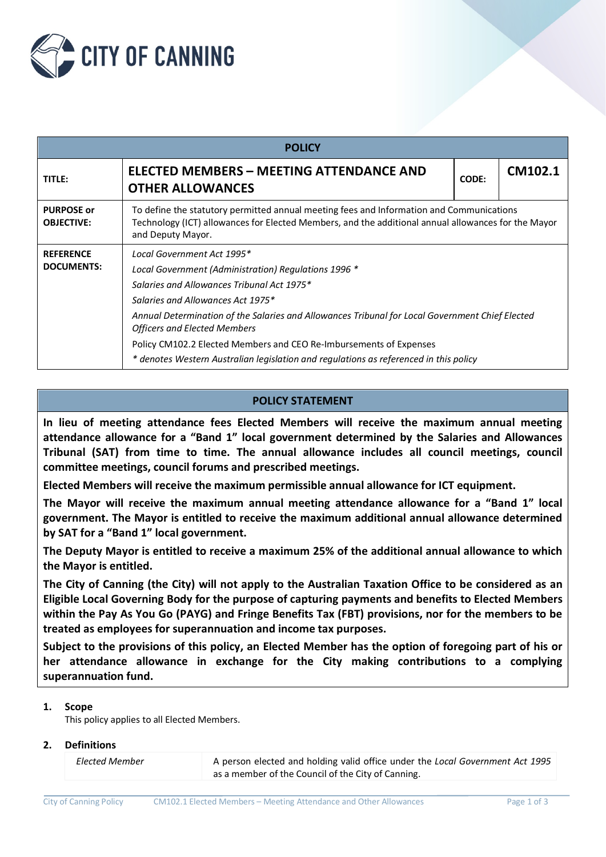

| <b>POLICY</b>                          |                                                                                                                                                                                                                                                                                                                                                                                                                                                                                |              |         |  |  |  |
|----------------------------------------|--------------------------------------------------------------------------------------------------------------------------------------------------------------------------------------------------------------------------------------------------------------------------------------------------------------------------------------------------------------------------------------------------------------------------------------------------------------------------------|--------------|---------|--|--|--|
| TITLE:                                 | <b>ELECTED MEMBERS - MEETING ATTENDANCE AND</b><br><b>OTHER ALLOWANCES</b>                                                                                                                                                                                                                                                                                                                                                                                                     | <b>CODE:</b> | CM102.1 |  |  |  |
| <b>PURPOSE or</b><br><b>OBJECTIVE:</b> | To define the statutory permitted annual meeting fees and Information and Communications<br>Technology (ICT) allowances for Elected Members, and the additional annual allowances for the Mayor<br>and Deputy Mayor.                                                                                                                                                                                                                                                           |              |         |  |  |  |
| <b>REFERENCE</b><br><b>DOCUMENTS:</b>  | Local Government Act 1995*<br>Local Government (Administration) Regulations 1996 *<br>Salaries and Allowances Tribunal Act 1975*<br>Salaries and Allowances Act 1975*<br>Annual Determination of the Salaries and Allowances Tribunal for Local Government Chief Elected<br><b>Officers and Elected Members</b><br>Policy CM102.2 Elected Members and CEO Re-Imbursements of Expenses<br>* denotes Western Australian legislation and regulations as referenced in this policy |              |         |  |  |  |

## **POLICY STATEMENT**

**In lieu of meeting attendance fees Elected Members will receive the maximum annual meeting attendance allowance for a "Band 1" local government determined by the Salaries and Allowances Tribunal (SAT) from time to time. The annual allowance includes all council meetings, council committee meetings, council forums and prescribed meetings.**

**Elected Members will receive the maximum permissible annual allowance for ICT equipment.**

**The Mayor will receive the maximum annual meeting attendance allowance for a "Band 1" local government. The Mayor is entitled to receive the maximum additional annual allowance determined by SAT for a "Band 1" local government.**

**The Deputy Mayor is entitled to receive a maximum 25% of the additional annual allowance to which the Mayor is entitled.**

**The City of Canning (the City) will not apply to the Australian Taxation Office to be considered as an Eligible Local Governing Body for the purpose of capturing payments and benefits to Elected Members within the Pay As You Go (PAYG) and Fringe Benefits Tax (FBT) provisions, nor for the members to be treated as employees for superannuation and income tax purposes.**

**Subject to the provisions of this policy, an Elected Member has the option of foregoing part of his or her attendance allowance in exchange for the City making contributions to a complying superannuation fund.**

## **1. Scope**

This policy applies to all Elected Members.

### **2. Definitions**

| <b>Elected Member</b> | A person elected and holding valid office under the Local Government Act 1995 |
|-----------------------|-------------------------------------------------------------------------------|
|                       | as a member of the Council of the City of Canning.                            |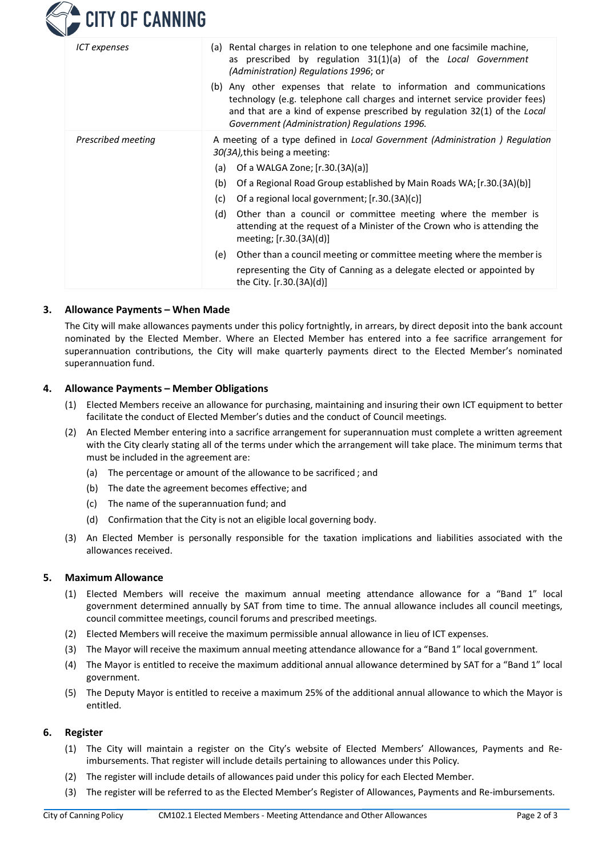

| ICT expenses       | (a) Rental charges in relation to one telephone and one facsimile machine,<br>as prescribed by regulation 31(1)(a) of the Local Government<br>(Administration) Regulations 1996; or<br>(b) Any other expenses that relate to information and communications<br>technology (e.g. telephone call charges and internet service provider fees)<br>and that are a kind of expense prescribed by regulation 32(1) of the Local |
|--------------------|--------------------------------------------------------------------------------------------------------------------------------------------------------------------------------------------------------------------------------------------------------------------------------------------------------------------------------------------------------------------------------------------------------------------------|
|                    | Government (Administration) Regulations 1996.                                                                                                                                                                                                                                                                                                                                                                            |
| Prescribed meeting | A meeting of a type defined in Local Government (Administration) Regulation<br>30(3A), this being a meeting:                                                                                                                                                                                                                                                                                                             |
|                    | Of a WALGA Zone; [r.30.(3A)(a)]<br>(a)                                                                                                                                                                                                                                                                                                                                                                                   |
|                    | (b)<br>Of a Regional Road Group established by Main Roads WA; [r.30.(3A)(b)]                                                                                                                                                                                                                                                                                                                                             |
|                    | Of a regional local government; [r.30.(3A)(c)]<br>(c)                                                                                                                                                                                                                                                                                                                                                                    |
|                    | (d)<br>Other than a council or committee meeting where the member is<br>attending at the request of a Minister of the Crown who is attending the<br>meeting; [r.30.(3A)(d)]                                                                                                                                                                                                                                              |
|                    | (e)<br>Other than a council meeting or committee meeting where the member is                                                                                                                                                                                                                                                                                                                                             |
|                    | representing the City of Canning as a delegate elected or appointed by<br>the City. $[r.30.(3A)(d)]$                                                                                                                                                                                                                                                                                                                     |

### **3. Allowance Payments – When Made**

The City will make allowances payments under this policy fortnightly, in arrears, by direct deposit into the bank account nominated by the Elected Member. Where an Elected Member has entered into a fee sacrifice arrangement for superannuation contributions, the City will make quarterly payments direct to the Elected Member's nominated superannuation fund.

### **4. Allowance Payments – Member Obligations**

- (1) Elected Members receive an allowance for purchasing, maintaining and insuring their own ICT equipment to better facilitate the conduct of Elected Member's duties and the conduct of Council meetings.
- (2) An Elected Member entering into a sacrifice arrangement for superannuation must complete a written agreement with the City clearly stating all of the terms under which the arrangement will take place. The minimum terms that must be included in the agreement are:
	- (a) The percentage or amount of the allowance to be sacrificed ; and
	- (b) The date the agreement becomes effective; and
	- (c) The name of the superannuation fund; and
	- (d) Confirmation that the City is not an eligible local governing body.
- (3) An Elected Member is personally responsible for the taxation implications and liabilities associated with the allowances received.

### **5. Maximum Allowance**

- (1) Elected Members will receive the maximum annual meeting attendance allowance for a "Band 1" local government determined annually by SAT from time to time. The annual allowance includes all council meetings, council committee meetings, council forums and prescribed meetings.
- (2) Elected Members will receive the maximum permissible annual allowance in lieu of ICT expenses.
- (3) The Mayor will receive the maximum annual meeting attendance allowance for a "Band 1" local government.
- (4) The Mayor is entitled to receive the maximum additional annual allowance determined by SAT for a "Band 1" local government.
- (5) The Deputy Mayor is entitled to receive a maximum 25% of the additional annual allowance to which the Mayor is entitled.

#### **6. Register**

- (1) The City will maintain a register on the City's website of Elected Members' Allowances, Payments and Reimbursements. That register will include details pertaining to allowances under this Policy.
- (2) The register will include details of allowances paid under this policy for each Elected Member.
- (3) The register will be referred to as the Elected Member's Register of Allowances, Payments and Re-imbursements.